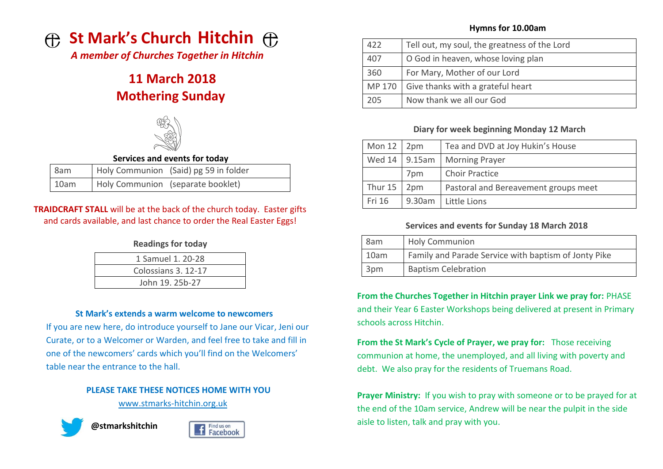

*A member of Churches Together in Hitchin*

# **11 March 2018 Mothering Sunday**



#### **Services and events for today**

| 8am  | Holy Communion (Said) pg 59 in folder |
|------|---------------------------------------|
| 10am | Holy Communion (separate booklet)     |

# **TRAIDCRAFT STALL** will be at the back of the church today. Easter gifts and cards available, and last chance to order the Real Easter Eggs!

#### **Readings for today**

| 1 Samuel 1, 20-28   |  |
|---------------------|--|
| Colossians 3, 12-17 |  |
| John 19, 25b-27     |  |
|                     |  |

#### **St Mark's extends a warm welcome to newcomers**

If you are new here, do introduce yourself to Jane our Vicar, Jeni our Curate, or to a Welcomer or Warden, and feel free to take and fill in one of the newcomers' cards which you'll find on the Welcomers' table near the entrance to the hall.

# **PLEASE TAKE THESE NOTICES HOME WITH YOU**

[www.stmarks-hitchin.org.uk](http://www.stmarks-hitchin.org.uk/)







# **Hymns for 10.00am**

| 422 | Tell out, my soul, the greatness of the Lord    |  |
|-----|-------------------------------------------------|--|
| 407 | O God in heaven, whose loving plan              |  |
| 360 | For Mary, Mother of our Lord                    |  |
|     | MP 170 $\mid$ Give thanks with a grateful heart |  |
| 205 | Now thank we all our God                        |  |

# **Diary for week beginning Monday 12 March**

| Mon $12$ | 2pm    | Tea and DVD at Joy Hukin's House     |
|----------|--------|--------------------------------------|
| Wed 14   | 9.15am | <b>Morning Prayer</b>                |
|          | 7pm    | <b>Choir Practice</b>                |
| Thur 15  | 2pm    | Pastoral and Bereavement groups meet |
| Fri 16   | 9.30am | Little Lions                         |

# **Services and events for Sunday 18 March 2018**

| 8am             | <b>Holy Communion</b>                                |  |
|-----------------|------------------------------------------------------|--|
| 10am            | Family and Parade Service with baptism of Jonty Pike |  |
| 3 <sub>pm</sub> | <b>Baptism Celebration</b>                           |  |

**From the Churches Together in Hitchin prayer Link we pray for:** PHASE and their Year 6 Easter Workshops being delivered at present in Primary schools across Hitchin.

**From the St Mark's Cycle of Prayer, we pray for:** Those receiving communion at home, the unemployed, and all living with poverty and debt. We also pray for the residents of Truemans Road.

**Prayer Ministry:** If you wish to pray with someone or to be prayed for at the end of the 10am service, Andrew will be near the pulpit in the side aisle to listen, talk and pray with you.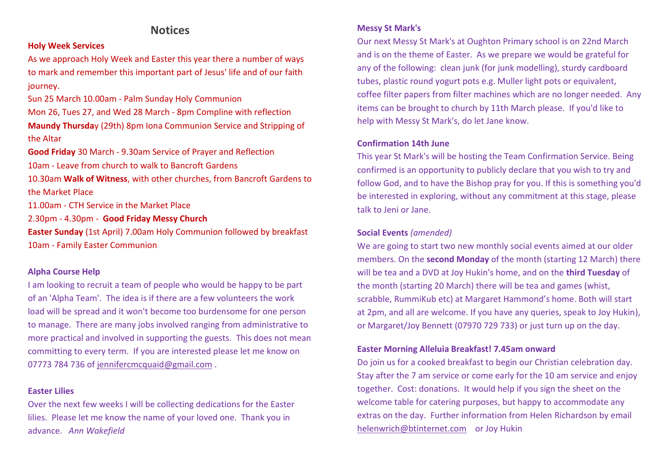# **Notices**

#### **Holy Week Services**

As we approach Holy Week and Easter this year there a number of ways to mark and remember this important part of Jesus' life and of our faith journey.

Sun 25 March 10.00am - Palm Sunday Holy Communion Mon 26, Tues 27, and Wed 28 March - 8pm Compline with reflection **Maundy Thursda**y (29th) 8pm Iona Communion Service and Stripping of the Altar

**Good Friday** 30 March - 9.30am Service of Prayer and Reflection 10am - Leave from church to walk to Bancroft Gardens

10.30am **Walk of Witness**, with other churches, from Bancroft Gardens to the Market Place

11.00am - CTH Service in the Market Place

2.30pm - 4.30pm - **Good Friday Messy Church**

**Easter Sunday** (1st April) 7.00am Holy Communion followed by breakfast 10am - Family Easter Communion

#### **Alpha Course Help**

I am looking to recruit a team of people who would be happy to be part of an 'Alpha Team'. The idea is if there are a few volunteers the work load will be spread and it won't become too burdensome for one person to manage. There are many jobs involved ranging from administrative to more practical and involved in supporting the guests. This does not mean committing to every term. If you are interested please let me know on 07773 784 736 of [jennifercmcquaid@gmail.com](mailto:jennifercmcquaid@gmail.com) .

#### **Easter Lilies**

Over the next few weeks I will be collecting dedications for the Easter lilies. Please let me know the name of your loved one. Thank you in advance. *Ann Wakefield*

#### **Messy St Mark's**

Our next Messy St Mark's at Oughton Primary school is on 22nd March and is on the theme of Easter. As we prepare we would be grateful for any of the following: clean junk (for junk modelling), sturdy cardboard tubes, plastic round yogurt pots e.g. Muller light pots or equivalent, coffee filter papers from filter machines which are no longer needed. Any items can be brought to church by 11th March please. If you'd like to help with Messy St Mark's, do let Jane know.

#### **Confirmation 14th June**

This year St Mark's will be hosting the Team Confirmation Service. Being confirmed is an opportunity to publicly declare that you wish to try and follow God, and to have the Bishop pray for you. If this is something you'd be interested in exploring, without any commitment at this stage, please talk to Jeni or Jane.

#### **Social Events** *(amended)*

We are going to start two new monthly social events aimed at our older members. On the **second Monday** of the month (starting 12 March) there will be tea and a DVD at Joy Hukin's home, and on the **third Tuesday** of the month (starting 20 March) there will be tea and games (whist, scrabble, RummiKub etc) at Margaret Hammond's home. Both will start at 2pm, and all are welcome. If you have any queries, speak to Joy Hukin), or Margaret/Joy Bennett (07970 729 733) or just turn up on the day.

#### **Easter Morning Alleluia Breakfast! 7.45am onward**

Do join us for a cooked breakfast to begin our Christian celebration day. Stay after the 7 am service or come early for the 10 am service and enjoy together. Cost: donations. It would help if you sign the sheet on the welcome table for catering purposes, but happy to accommodate any extras on the day. Further information from Helen Richardson by email [helenwrich@btinternet.com](mailto:helenwrich@btinternet.com) or Joy Hukin